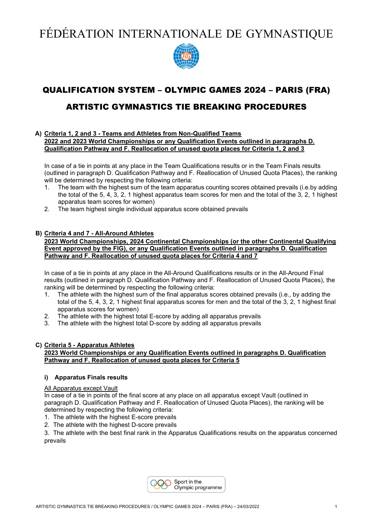FÉDÉRATION INTERNATIONALE DE GYMNASTIQUE



# QUALIFICATION SYSTEM – OLYMPIC GAMES 2024 – PARIS (FRA)

# ARTISTIC GYMNASTICS TIE BREAKING PROCEDURES

#### **A) Criteria 1, 2 and 3 - Teams and Athletes from Non-Qualified Teams 2022 and 2023 World Championships or any Qualification Events outlined in paragraphs D. Qualification Pathway and F. Reallocation of unused quota places for Criteria 1, 2 and 3**

In case of a tie in points at any place in the Team Qualifications results or in the Team Finals results (outlined in paragraph D. Qualification Pathway and F. Reallocation of Unused Quota Places), the ranking will be determined by respecting the following criteria:

- 1. The team with the highest sum of the team apparatus counting scores obtained prevails (i.e.by adding the total of the 5, 4, 3, 2, 1 highest apparatus team scores for men and the total of the 3, 2, 1 highest apparatus team scores for women)
- 2. The team highest single individual apparatus score obtained prevails

# **B) Criteria 4 and 7 - All-Around Athletes**

#### **2023 World Championships, 2024 Continental Championships (or the other Continental Qualifying Event approved by the FIG), or any Qualification Events outlined in paragraphs D. Qualification Pathway and F. Reallocation of unused quota places for Criteria 4 and 7**

In case of a tie in points at any place in the All-Around Qualifications results or in the All-Around Final results (outlined in paragraph D. Qualification Pathway and F. Reallocation of Unused Quota Places), the ranking will be determined by respecting the following criteria:

- 1. The athlete with the highest sum of the final apparatus scores obtained prevails (i.e., by adding the total of the 5, 4, 3, 2, 1 highest final apparatus scores for men and the total of the 3, 2, 1 highest final apparatus scores for women)
- 2. The athlete with the highest total E-score by adding all apparatus prevails
- 3. The athlete with the highest total D-score by adding all apparatus prevails

# **C) Criteria 5 - Apparatus Athletes**

#### **2023 World Championships or any Qualification Events outlined in paragraphs D. Qualification Pathway and F. Reallocation of unused quota places for Criteria 5**

#### **i) Apparatus Finals results**

#### All Apparatus except Vault

In case of a tie in points of the final score at any place on all apparatus except Vault (outlined in paragraph D. Qualification Pathway and F. Reallocation of Unused Quota Places), the ranking will be determined by respecting the following criteria:

- 1. The athlete with the highest E-score prevails
- 2. The athlete with the highest D-score prevails

3. The athlete with the best final rank in the Apparatus Qualifications results on the apparatus concerned prevails

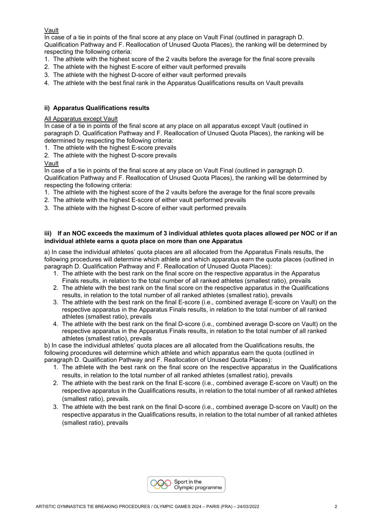# Vault

In case of a tie in points of the final score at any place on Vault Final (outlined in paragraph D. Qualification Pathway and F. Reallocation of Unused Quota Places), the ranking will be determined by respecting the following criteria:

- 1. The athlete with the highest score of the 2 vaults before the average for the final score prevails
- 2. The athlete with the highest E-score of either vault performed prevails
- 3. The athlete with the highest D-score of either vault performed prevails
- 4. The athlete with the best final rank in the Apparatus Qualifications results on Vault prevails

# **ii) Apparatus Qualifications results**

# All Apparatus except Vault

In case of a tie in points of the final score at any place on all apparatus except Vault (outlined in paragraph D. Qualification Pathway and F. Reallocation of Unused Quota Places), the ranking will be determined by respecting the following criteria:

- 1. The athlete with the highest E-score prevails
- 2. The athlete with the highest D-score prevails

# Vault

In case of a tie in points of the final score at any place on Vault Final (outlined in paragraph D. Qualification Pathway and F. Reallocation of Unused Quota Places), the ranking will be determined by respecting the following criteria:

- 1. The athlete with the highest score of the 2 vaults before the average for the final score prevails
- 2. The athlete with the highest E-score of either vault performed prevails
- 3. The athlete with the highest D-score of either vault performed prevails

# **iii) If an NOC exceeds the maximum of 3 individual athletes quota places allowed per NOC or if an individual athlete earns a quota place on more than one Apparatus**

a) In case the individual athletes' quota places are all allocated from the Apparatus Finals results, the following procedures will determine which athlete and which apparatus earn the quota places (outlined in paragraph D. Qualification Pathway and F. Reallocation of Unused Quota Places):

- 1. The athlete with the best rank on the final score on the respective apparatus in the Apparatus Finals results, in relation to the total number of all ranked athletes (smallest ratio), prevails
- 2. The athlete with the best rank on the final score on the respective apparatus in the Qualifications results, in relation to the total number of all ranked athletes (smallest ratio), prevails
- 3. The athlete with the best rank on the final E-score (i.e., combined average E-score on Vault) on the respective apparatus in the Apparatus Finals results, in relation to the total number of all ranked athletes (smallest ratio), prevails
- 4. The athlete with the best rank on the final D-score (i.e., combined average D-score on Vault) on the respective apparatus in the Apparatus Finals results, in relation to the total number of all ranked athletes (smallest ratio), prevails

b) In case the individual athletes' quota places are all allocated from the Qualifications results, the following procedures will determine which athlete and which apparatus earn the quota (outlined in paragraph D. Qualification Pathway and F. Reallocation of Unused Quota Places):

- 1. The athlete with the best rank on the final score on the respective apparatus in the Qualifications results, in relation to the total number of all ranked athletes (smallest ratio), prevails
- 2. The athlete with the best rank on the final E-score (i.e., combined average E-score on Vault) on the respective apparatus in the Qualifications results, in relation to the total number of all ranked athletes (smallest ratio), prevails.
- 3. The athlete with the best rank on the final D-score (i.e., combined average D-score on Vault) on the respective apparatus in the Qualifications results, in relation to the total number of all ranked athletes (smallest ratio), prevails